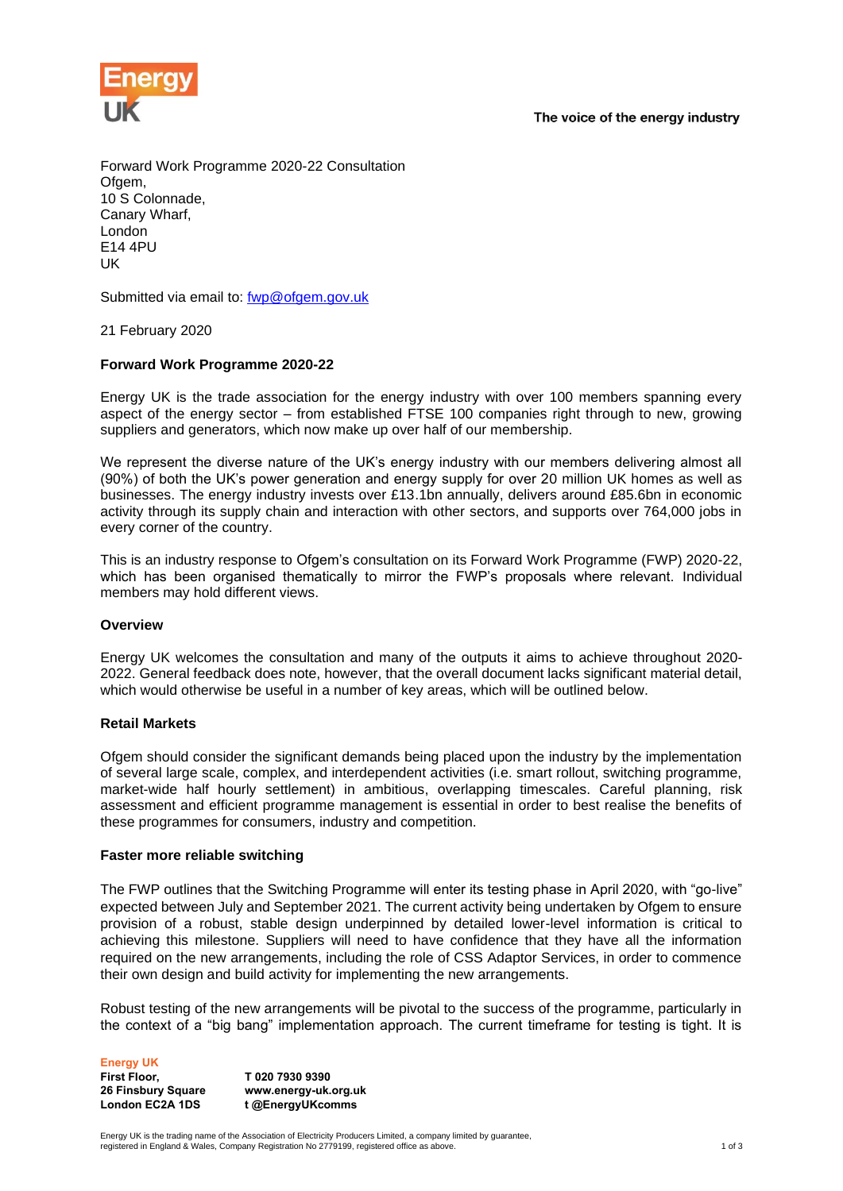The voice of the energy industry



Forward Work Programme 2020-22 Consultation Ofgem. 10 S Colonnade, Canary Wharf, London E14 4PU UK

Submitted via email to: [fwp@ofgem.gov.uk](mailto:fwp@ofgem.gov.uk)

21 February 2020

# **Forward Work Programme 2020-22**

Energy UK is the trade association for the energy industry with over 100 members spanning every aspect of the energy sector – from established FTSE 100 companies right through to new, growing suppliers and generators, which now make up over half of our membership.

We represent the diverse nature of the UK's energy industry with our members delivering almost all (90%) of both the UK's power generation and energy supply for over 20 million UK homes as well as businesses. The energy industry invests over £13.1bn annually, delivers around £85.6bn in economic activity through its supply chain and interaction with other sectors, and supports over 764,000 jobs in every corner of the country.

This is an industry response to Ofgem's consultation on its Forward Work Programme (FWP) 2020-22, which has been organised thematically to mirror the FWP's proposals where relevant. Individual members may hold different views.

### **Overview**

Energy UK welcomes the consultation and many of the outputs it aims to achieve throughout 2020- 2022. General feedback does note, however, that the overall document lacks significant material detail, which would otherwise be useful in a number of key areas, which will be outlined below.

### **Retail Markets**

Ofgem should consider the significant demands being placed upon the industry by the implementation of several large scale, complex, and interdependent activities (i.e. smart rollout, switching programme, market-wide half hourly settlement) in ambitious, overlapping timescales. Careful planning, risk assessment and efficient programme management is essential in order to best realise the benefits of these programmes for consumers, industry and competition.

### **Faster more reliable switching**

The FWP outlines that the Switching Programme will enter its testing phase in April 2020, with "go-live" expected between July and September 2021. The current activity being undertaken by Ofgem to ensure provision of a robust, stable design underpinned by detailed lower-level information is critical to achieving this milestone. Suppliers will need to have confidence that they have all the information required on the new arrangements, including the role of CSS Adaptor Services, in order to commence their own design and build activity for implementing the new arrangements.

Robust testing of the new arrangements will be pivotal to the success of the programme, particularly in the context of a "big bang" implementation approach. The current timeframe for testing is tight. It is

**Energy UK First Floor, 26 Finsbury Square**

**London EC2A 1DS**

**T 020 7930 9390 www.energy-uk.org.uk t @EnergyUKcomms**

Energy UK is the trading name of the Association of Electricity Producers Limited, a company limited by guarantee, registered in England & Wales, Company Registration No 2779199, registered office as above. 1 of 3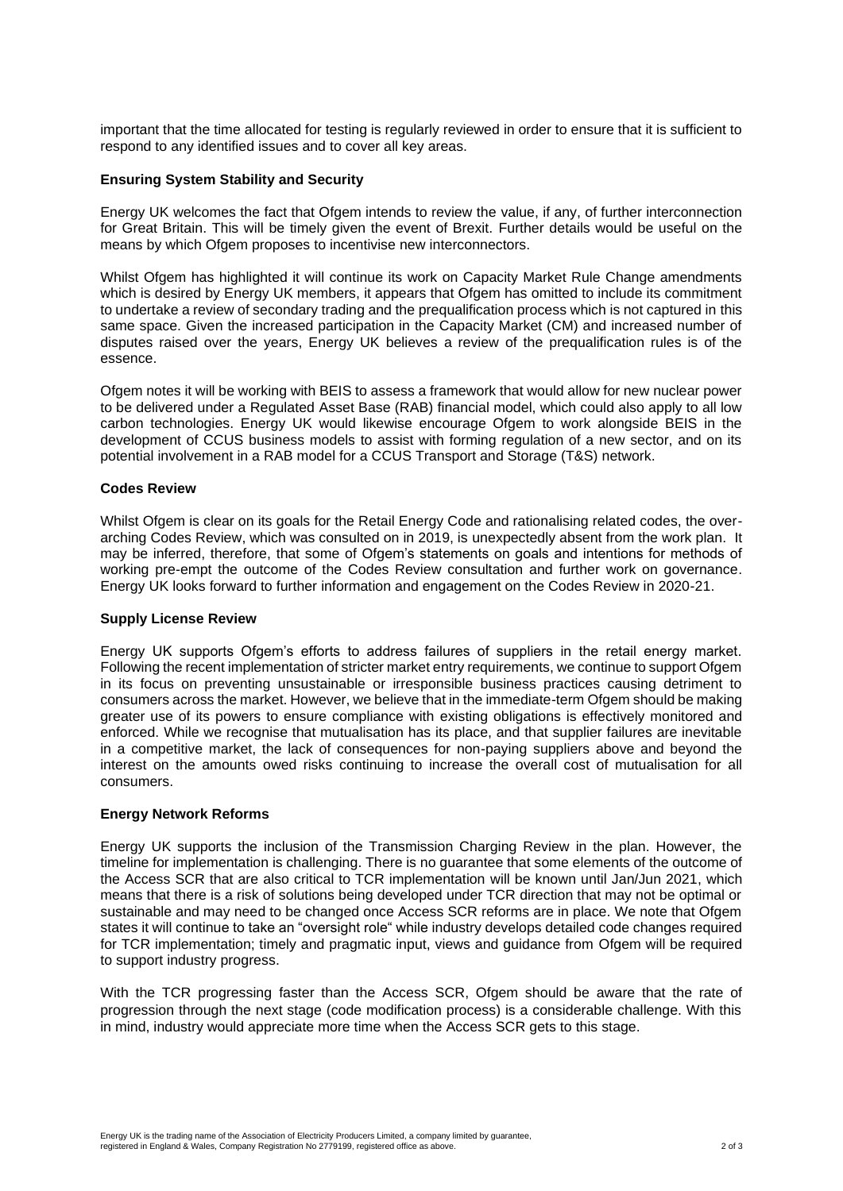important that the time allocated for testing is regularly reviewed in order to ensure that it is sufficient to respond to any identified issues and to cover all key areas.

# **Ensuring System Stability and Security**

Energy UK welcomes the fact that Ofgem intends to review the value, if any, of further interconnection for Great Britain. This will be timely given the event of Brexit. Further details would be useful on the means by which Ofgem proposes to incentivise new interconnectors.

Whilst Ofgem has highlighted it will continue its work on Capacity Market Rule Change amendments which is desired by Energy UK members, it appears that Ofgem has omitted to include its commitment to undertake a review of secondary trading and the prequalification process which is not captured in this same space. Given the increased participation in the Capacity Market (CM) and increased number of disputes raised over the years, Energy UK believes a review of the prequalification rules is of the essence.

Ofgem notes it will be working with BEIS to assess a framework that would allow for new nuclear power to be delivered under a Regulated Asset Base (RAB) financial model, which could also apply to all low carbon technologies. Energy UK would likewise encourage Ofgem to work alongside BEIS in the development of CCUS business models to assist with forming regulation of a new sector, and on its potential involvement in a RAB model for a CCUS Transport and Storage (T&S) network.

# **Codes Review**

Whilst Ofgem is clear on its goals for the Retail Energy Code and rationalising related codes, the overarching Codes Review, which was consulted on in 2019, is unexpectedly absent from the work plan. It may be inferred, therefore, that some of Ofgem's statements on goals and intentions for methods of working pre-empt the outcome of the Codes Review consultation and further work on governance. Energy UK looks forward to further information and engagement on the Codes Review in 2020-21.

### **Supply License Review**

Energy UK supports Ofgem's efforts to address failures of suppliers in the retail energy market. Following the recent implementation of stricter market entry requirements, we continue to support Ofgem in its focus on preventing unsustainable or irresponsible business practices causing detriment to consumers across the market. However, we believe that in the immediate-term Ofgem should be making greater use of its powers to ensure compliance with existing obligations is effectively monitored and enforced. While we recognise that mutualisation has its place, and that supplier failures are inevitable in a competitive market, the lack of consequences for non-paying suppliers above and beyond the interest on the amounts owed risks continuing to increase the overall cost of mutualisation for all consumers.

### **Energy Network Reforms**

Energy UK supports the inclusion of the Transmission Charging Review in the plan. However, the timeline for implementation is challenging. There is no guarantee that some elements of the outcome of the Access SCR that are also critical to TCR implementation will be known until Jan/Jun 2021, which means that there is a risk of solutions being developed under TCR direction that may not be optimal or sustainable and may need to be changed once Access SCR reforms are in place. We note that Ofgem states it will continue to take an "oversight role" while industry develops detailed code changes required for TCR implementation; timely and pragmatic input, views and guidance from Ofgem will be required to support industry progress.

With the TCR progressing faster than the Access SCR, Ofgem should be aware that the rate of progression through the next stage (code modification process) is a considerable challenge. With this in mind, industry would appreciate more time when the Access SCR gets to this stage.